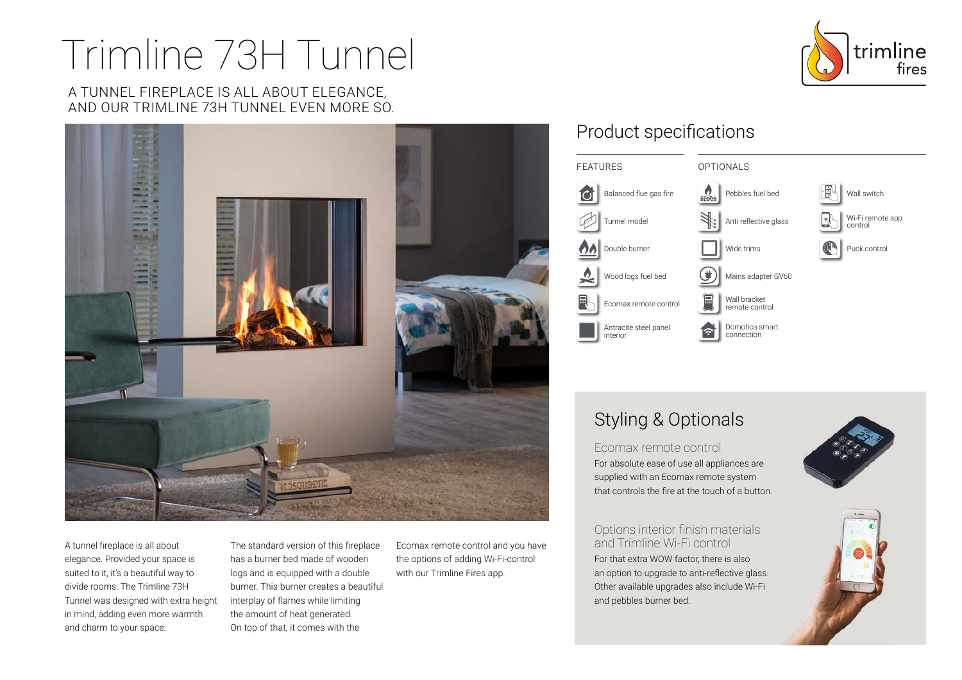# Trimline 73H Tunnel

#### A TUNNEL FIREPLACE IS ALL ABOUT ELEGANCE, AND OUR TRIMLINE 73H TUNNEL EVEN MORE SO.



A tunnel fireplace is all about elegance. Provided your space is suited to it, it's a beautiful way to divide rooms. The Trimline 73H Tunnel was designed with extra height in mind, adding even more warmth and charm to your space.

The standard version of this fireplace has a burner bed made of wooden logs and is equipped with a double burner. This burner creates a beautiful interplay of flames while limiting the amount of heat generated. On top of that, it comes with the

Ecomax remote control and you have the options of adding Wi-Fi-control with our Trimline Fires app.

## Product specifications



## Styling & Optionals

Ecomax remote control For absolute ease of use all appliances are supplied with an Ecomax remote system that controls the fire at the touch of a button.

Options interior finish materials and Trimline Wi-Fi control For that extra WOW factor, there is also an option to upgrade to anti-reflective glass. Other available upgrades also include Wi-Fi and pebbles burner bed.